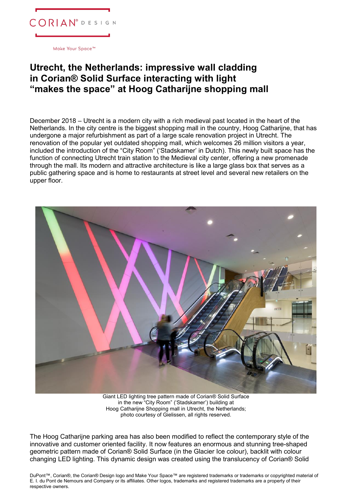

Make Your Space<sup>™</sup>

## **Utrecht, the Netherlands: impressive wall cladding in Corian® Solid Surface interacting with light "makes the space" at Hoog Catharijne shopping mall**

December 2018 – Utrecht is a modern city with a rich medieval past located in the heart of the Netherlands. In the city centre is the biggest shopping mall in the country, Hoog Catharijne, that has undergone a major refurbishment as part of a large scale renovation project in Utrecht. The renovation of the popular yet outdated shopping mall, which welcomes 26 million visitors a year, included the introduction of the "City Room" ('Stadskamer' in Dutch). This newly built space has the function of connecting Utrecht train station to the Medieval city center, offering a new promenade through the mall. Its modern and attractive architecture is like a large glass box that serves as a public gathering space and is home to restaurants at street level and several new retailers on the upper floor.



Giant LED lighting tree pattern made of Corian® Solid Surface in the new "City Room" ('Stadskamer') building at Hoog Catharijne Shopping mall in Utrecht, the Netherlands; photo courtesy of Gielissen, all rights reserved.

The Hoog Catharijne parking area has also been modified to reflect the contemporary style of the innovative and customer oriented facility. It now features an enormous and stunning tree-shaped geometric pattern made of Corian® Solid Surface (in the Glacier Ice colour), backlit with colour changing LED lighting. This dynamic design was created using the translucency of Corian® Solid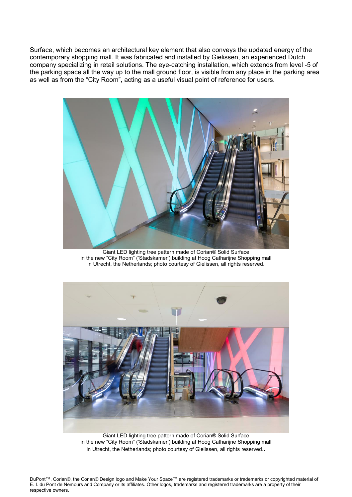Surface, which becomes an architectural key element that also conveys the updated energy of the contemporary shopping mall. It was fabricated and installed by Gielissen, an experienced Dutch company specializing in retail solutions. The eye-catching installation, which extends from level -5 of the parking space all the way up to the mall ground floor, is visible from any place in the parking area as well as from the "City Room", acting as a useful visual point of reference for users.



Giant LED lighting tree pattern made of Corian® Solid Surface in the new "City Room" ('Stadskamer') building at Hoog Catharijne Shopping mall in Utrecht, the Netherlands; photo courtesy of Gielissen, all rights reserved.



Giant LED lighting tree pattern made of Corian® Solid Surface in the new "City Room" ('Stadskamer') building at Hoog Catharijne Shopping mall in Utrecht, the Netherlands; photo courtesy of Gielissen, all rights reserved..

DuPont™, Corian®, the Corian® Design logo and Make Your Space™ are registered trademarks or trademarks or copyrighted material of E. I. du Pont de Nemours and Company or its affiliates. Other logos, trademarks and registered trademarks are a property of their respective owners.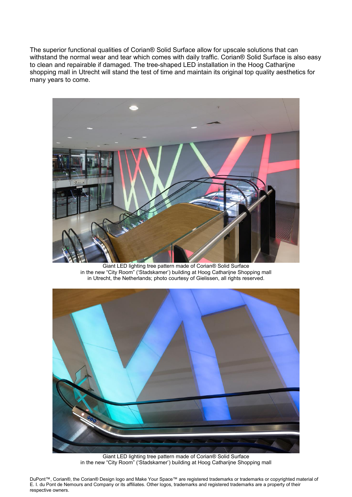The superior functional qualities of Corian® Solid Surface allow for upscale solutions that can withstand the normal wear and tear which comes with daily traffic. Corian® Solid Surface is also easy to clean and repairable if damaged. The tree-shaped LED installation in the Hoog Catharijne shopping mall in Utrecht will stand the test of time and maintain its original top quality aesthetics for many years to come.



Giant LED lighting tree pattern made of Corian® Solid Surface in the new "City Room" ('Stadskamer') building at Hoog Catharijne Shopping mall in Utrecht, the Netherlands; photo courtesy of Gielissen, all rights reserved.



Giant LED lighting tree pattern made of Corian® Solid Surface in the new "City Room" ('Stadskamer') building at Hoog Catharijne Shopping mall

DuPont™, Corian®, the Corian® Design logo and Make Your Space™ are registered trademarks or trademarks or copyrighted material of E. I. du Pont de Nemours and Company or its affiliates. Other logos, trademarks and registered trademarks are a property of their respective owners.